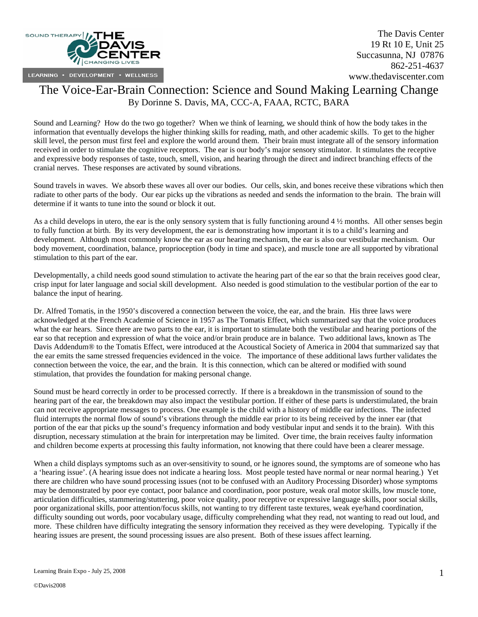

# The Voice-Ear-Brain Connection: Science and Sound Making Learning Change By Dorinne S. Davis, MA, CCC-A, FAAA, RCTC, BARA

Sound and Learning? How do the two go together? When we think of learning, we should think of how the body takes in the information that eventually develops the higher thinking skills for reading, math, and other academic skills. To get to the higher skill level, the person must first feel and explore the world around them. Their brain must integrate all of the sensory information received in order to stimulate the cognitive receptors. The ear is our body's major sensory stimulator. It stimulates the receptive and expressive body responses of taste, touch, smell, vision, and hearing through the direct and indirect branching effects of the cranial nerves. These responses are activated by sound vibrations.

Sound travels in waves. We absorb these waves all over our bodies. Our cells, skin, and bones receive these vibrations which then radiate to other parts of the body. Our ear picks up the vibrations as needed and sends the information to the brain. The brain will determine if it wants to tune into the sound or block it out.

As a child develops in utero, the ear is the only sensory system that is fully functioning around 4 ½ months. All other senses begin to fully function at birth. By its very development, the ear is demonstrating how important it is to a child's learning and development. Although most commonly know the ear as our hearing mechanism, the ear is also our vestibular mechanism. Our body movement, coordination, balance, proprioception (body in time and space), and muscle tone are all supported by vibrational stimulation to this part of the ear.

Developmentally, a child needs good sound stimulation to activate the hearing part of the ear so that the brain receives good clear, crisp input for later language and social skill development. Also needed is good stimulation to the vestibular portion of the ear to balance the input of hearing.

Dr. Alfred Tomatis, in the 1950's discovered a connection between the voice, the ear, and the brain. His three laws were acknowledged at the French Academie of Science in 1957 as The Tomatis Effect, which summarized say that the voice produces what the ear hears. Since there are two parts to the ear, it is important to stimulate both the vestibular and hearing portions of the ear so that reception and expression of what the voice and/or brain produce are in balance. Two additional laws, known as The Davis Addendum® to the Tomatis Effect, were introduced at the Acoustical Society of America in 2004 that summarized say that the ear emits the same stressed frequencies evidenced in the voice. The importance of these additional laws further validates the connection between the voice, the ear, and the brain. It is this connection, which can be altered or modified with sound stimulation, that provides the foundation for making personal change.

Sound must be heard correctly in order to be processed correctly. If there is a breakdown in the transmission of sound to the hearing part of the ear, the breakdown may also impact the vestibular portion. If either of these parts is understimulated, the brain can not receive appropriate messages to process. One example is the child with a history of middle ear infections. The infected fluid interrupts the normal flow of sound's vibrations through the middle ear prior to its being received by the inner ear (that portion of the ear that picks up the sound's frequency information and body vestibular input and sends it to the brain). With this disruption, necessary stimulation at the brain for interpretation may be limited. Over time, the brain receives faulty information and children become experts at processing this faulty information, not knowing that there could have been a clearer message.

When a child displays symptoms such as an over-sensitivity to sound, or he ignores sound, the symptoms are of someone who has a 'hearing issue'. (A hearing issue does not indicate a hearing loss. Most people tested have normal or near normal hearing.) Yet there are children who have sound processing issues (not to be confused with an Auditory Processing Disorder) whose symptoms may be demonstrated by poor eye contact, poor balance and coordination, poor posture, weak oral motor skills, low muscle tone, articulation difficulties, stammering/stuttering, poor voice quality, poor receptive or expressive language skills, poor social skills, poor organizational skills, poor attention/focus skills, not wanting to try different taste textures, weak eye/hand coordination, difficulty sounding out words, poor vocabulary usage, difficulty comprehending what they read, not wanting to read out loud, and more. These children have difficulty integrating the sensory information they received as they were developing. Typically if the hearing issues are present, the sound processing issues are also present. Both of these issues affect learning.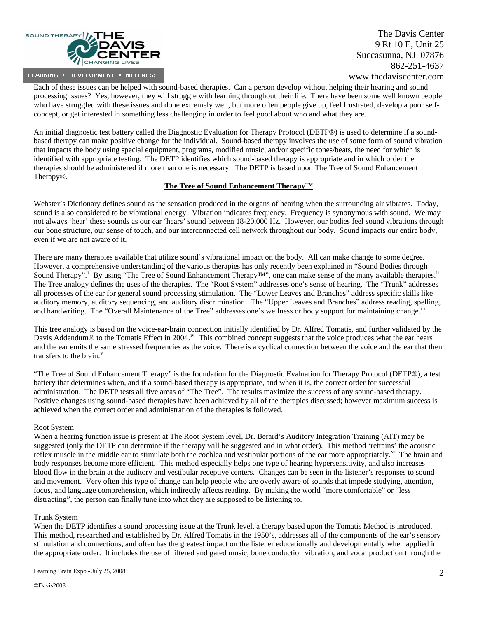

Each of these issues can be helped with sound-based therapies. Can a person develop without helping their hearing and sound processing issues? Yes, however, they will struggle with learning throughout their life. There have been some well known people who have struggled with these issues and done extremely well, but more often people give up, feel frustrated, develop a poor selfconcept, or get interested in something less challenging in order to feel good about who and what they are.

An initial diagnostic test battery called the Diagnostic Evaluation for Therapy Protocol (DETP®) is used to determine if a soundbased therapy can make positive change for the individual. Sound-based therapy involves the use of some form of sound vibration that impacts the body using special equipment, programs, modified music, and/or specific tones/beats, the need for which is identified with appropriate testing. The DETP identifies which sound-based therapy is appropriate and in which order the therapies should be administered if more than one is necessary. The DETP is based upon The Tree of Sound Enhancement Therapy®.

#### **The Tree of Sound Enhancement Therapy™**

Webster's Dictionary defines sound as the sensation produced in the organs of hearing when the surrounding air vibrates. Today, sound is also considered to be vibrational energy. Vibration indicates frequency. Frequency is synonymous with sound. We may not always 'hear' these sounds as our ear 'hears' sound between 18-20,000 Hz. However, our bodies feel sound vibrations through our bone structure, our sense of touch, and our interconnected cell network throughout our body. Sound impacts our entire body, even if we are not aware of it.

There are many therapies available that utilize sound's vibrational impact on the body. All can make change to some degree. However, a comprehensive understanding of the various therapies has only recently been explained in "Sound Bodies through Sound Therapy".<sup>[i](#page-6-0)</sup> By using "The Tree of Sound Enhancement Therapy<sup>TM</sup>", one can make sense of the many available therapies.<sup>[ii](#page-6-1)</sup> The Tree analogy defines the uses of the therapies. The "Root System" addresses one's sense of hearing. The "Trunk" addresses all processes of the ear for general sound processing stimulation. The "Lower Leaves and Branches" address specific skills like auditory memory, auditory sequencing, and auditory discrimination. The "Upper Leaves and Branches" address reading, spelling, and handwriting. The "Overall Maintenance of the Tree" addresses one's wellness or body support for maintaining change.<sup>III</sup>

This tree analogy is based on the voice-ear-brain connection initially identified by Dr. Alfred Tomatis, and further validated by the Davis Addendum® to the Tomatis Effect in 2004.<sup>[iv](#page-6-1)</sup> This combined concept suggests that the voice produces what the ear hears and the ear emits the same stressed frequencies as the voice. There is a cyclical connection between the voice and the ear that then transfers to the brain. $v$ 

"The Tree of Sound Enhancement Therapy" is the foundation for the Diagnostic Evaluation for Therapy Protocol (DETP®), a test battery that determines when, and if a sound-based therapy is appropriate, and when it is, the correct order for successful administration. The DETP tests all five areas of "The Tree". The results maximize the success of any sound-based therapy. Positive changes using sound-based therapies have been achieved by all of the therapies discussed; however maximum success is achieved when the correct order and administration of the therapies is followed.

#### Root System

When a hearing function issue is present at The Root System level, Dr. Berard's Auditory Integration Training (AIT) may be suggested (only the DETP can determine if the therapy will be suggested and in what order). This method 'retrains' the acoustic reflex muscle in the middle ear to stimulate both the cochlea and vestibular portions of the ear more appropriately.<sup>[vi](#page-6-1)</sup> The brain and body responses become more efficient. This method especially helps one type of hearing hypersensitivity, and also increases blood flow in the brain at the auditory and vestibular receptive centers. Changes can be seen in the listener's responses to sound and movement. Very often this type of change can help people who are overly aware of sounds that impede studying, attention, focus, and language comprehension, which indirectly affects reading. By making the world "more comfortable" or "less distracting", the person can finally tune into what they are supposed to be listening to.

#### Trunk System

When the DETP identifies a sound processing issue at the Trunk level, a therapy based upon the Tomatis Method is introduced. This method, researched and established by Dr. Alfred Tomatis in the 1950's, addresses all of the components of the ear's sensory stimulation and connections, and often has the greatest impact on the listener educationally and developmentally when applied in the appropriate order. It includes the use of filtered and gated music, bone conduction vibration, and vocal production through the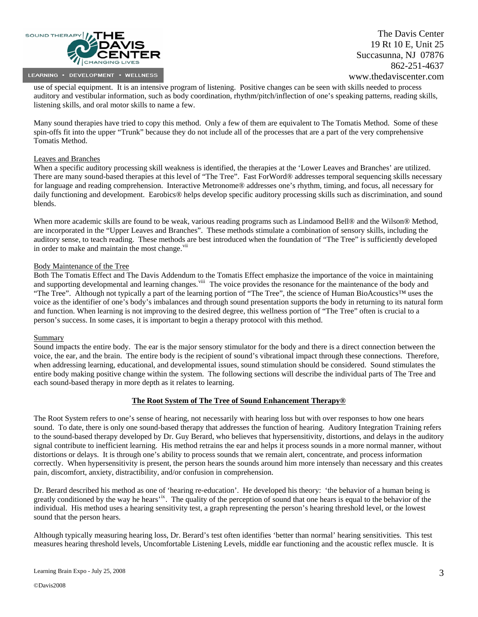

use of special equipment. It is an intensive program of listening. Positive changes can be seen with skills needed to process auditory and vestibular information, such as body coordination, rhythm/pitch/inflection of one's speaking patterns, reading skills, listening skills, and oral motor skills to name a few.

Many sound therapies have tried to copy this method. Only a few of them are equivalent to The Tomatis Method. Some of these spin-offs fit into the upper "Trunk" because they do not include all of the processes that are a part of the very comprehensive Tomatis Method.

### Leaves and Branches

When a specific auditory processing skill weakness is identified, the therapies at the 'Lower Leaves and Branches' are utilized. There are many sound-based therapies at this level of "The Tree". Fast ForWord® addresses temporal sequencing skills necessary for language and reading comprehension. Interactive Metronome® addresses one's rhythm, timing, and focus, all necessary for daily functioning and development. Earobics® helps develop specific auditory processing skills such as discrimination, and sound blends.

When more academic skills are found to be weak, various reading programs such as Lindamood Bell® and the Wilson® Method, are incorporated in the "Upper Leaves and Branches". These methods stimulate a combination of sensory skills, including the auditory sense, to teach reading. These methods are best introduced when the foundation of "The Tree" is sufficiently developed in order to make and maintain the most change.<sup>[vii](#page-6-1)</sup>

#### Body Maintenance of the Tree

Both The Tomatis Effect and The Davis Addendum to the Tomatis Effect emphasize the importance of the voice in maintaining and supporting developmental and learning changes.<sup>[viii](#page-6-1)</sup> The voice provides the resonance for the maintenance of the body and "The Tree". Although not typically a part of the learning portion of "The Tree", the science of Human BioAcoustics™ uses the voice as the identifier of one's body's imbalances and through sound presentation supports the body in returning to its natural form and function. When learning is not improving to the desired degree, this wellness portion of "The Tree" often is crucial to a person's success. In some cases, it is important to begin a therapy protocol with this method.

#### **Summary**

Sound impacts the entire body. The ear is the major sensory stimulator for the body and there is a direct connection between the voice, the ear, and the brain. The entire body is the recipient of sound's vibrational impact through these connections. Therefore, when addressing learning, educational, and developmental issues, sound stimulation should be considered. Sound stimulates the entire body making positive change within the system. The following sections will describe the individual parts of The Tree and each sound-based therapy in more depth as it relates to learning.

#### **The Root System of The Tree of Sound Enhancement Therapy®**

The Root System refers to one's sense of hearing, not necessarily with hearing loss but with over responses to how one hears sound. To date, there is only one sound-based therapy that addresses the function of hearing. Auditory Integration Training refers to the sound-based therapy developed by Dr. Guy Berard, who believes that hypersensitivity, distortions, and delays in the auditory signal contribute to inefficient learning. His method retrains the ear and helps it process sounds in a more normal manner, without distortions or delays. It is through one's ability to process sounds that we remain alert, concentrate, and process information correctly. When hypersensitivity is present, the person hears the sounds around him more intensely than necessary and this creates pain, discomfort, anxiety, distractibility, and/or confusion in comprehension.

Dr. Berard described his method as one of 'hearing re-education'. He developed his theory: 'the behavior of a human being is greatly conditioned by the way he hears'<sup>[ix](#page-6-1)</sup>. The quality of the perception of sound that one hears is equal to the behavior of the individual. His method uses a hearing sensitivity test, a graph representing the person's hearing threshold level, or the lowest sound that the person hears.

Although typically measuring hearing loss, Dr. Berard's test often identifies 'better than normal' hearing sensitivities. This test measures hearing threshold levels, Uncomfortable Listening Levels, middle ear functioning and the acoustic reflex muscle. It is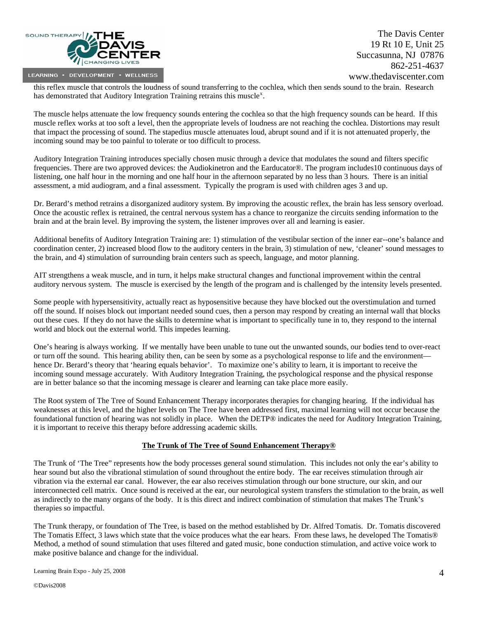

this reflex muscle that controls the loudness of sound transferring to the cochlea, which then sends sound to the brain. Research has demonstrated that Auditory Integration Training retrains this muscle<sup>[x](#page-6-1)</sup>.

The muscle helps attenuate the low frequency sounds entering the cochlea so that the high frequency sounds can be heard. If this muscle reflex works at too soft a level, then the appropriate levels of loudness are not reaching the cochlea. Distortions may result that impact the processing of sound. The stapedius muscle attenuates loud, abrupt sound and if it is not attenuated properly, the incoming sound may be too painful to tolerate or too difficult to process.

Auditory Integration Training introduces specially chosen music through a device that modulates the sound and filters specific frequencies. There are two approved devices: the Audiokinetron and the Earducator®. The program includes10 continuous days of listening, one half hour in the morning and one half hour in the afternoon separated by no less than 3 hours. There is an initial assessment, a mid audiogram, and a final assessment. Typically the program is used with children ages 3 and up.

Dr. Berard's method retrains a disorganized auditory system. By improving the acoustic reflex, the brain has less sensory overload. Once the acoustic reflex is retrained, the central nervous system has a chance to reorganize the circuits sending information to the brain and at the brain level. By improving the system, the listener improves over all and learning is easier.

Additional benefits of Auditory Integration Training are: 1) stimulation of the vestibular section of the inner ear--one's balance and coordination center, 2) increased blood flow to the auditory centers in the brain, 3) stimulation of new, 'cleaner' sound messages to the brain, and 4) stimulation of surrounding brain centers such as speech, language, and motor planning.

AIT strengthens a weak muscle, and in turn, it helps make structural changes and functional improvement within the central auditory nervous system. The muscle is exercised by the length of the program and is challenged by the intensity levels presented.

Some people with hypersensitivity, actually react as hyposensitive because they have blocked out the overstimulation and turned off the sound. If noises block out important needed sound cues, then a person may respond by creating an internal wall that blocks out these cues. If they do not have the skills to determine what is important to specifically tune in to, they respond to the internal world and block out the external world. This impedes learning.

One's hearing is always working. If we mentally have been unable to tune out the unwanted sounds, our bodies tend to over-react or turn off the sound. This hearing ability then, can be seen by some as a psychological response to life and the environment hence Dr. Berard's theory that 'hearing equals behavior'. To maximize one's ability to learn, it is important to receive the incoming sound message accurately. With Auditory Integration Training, the psychological response and the physical response are in better balance so that the incoming message is clearer and learning can take place more easily.

The Root system of The Tree of Sound Enhancement Therapy incorporates therapies for changing hearing. If the individual has weaknesses at this level, and the higher levels on The Tree have been addressed first, maximal learning will not occur because the foundational function of hearing was not solidly in place. When the DETP® indicates the need for Auditory Integration Training, it is important to receive this therapy before addressing academic skills.

## **The Trunk of The Tree of Sound Enhancement Therapy®**

The Trunk of 'The Tree" represents how the body processes general sound stimulation. This includes not only the ear's ability to hear sound but also the vibrational stimulation of sound throughout the entire body. The ear receives stimulation through air vibration via the external ear canal. However, the ear also receives stimulation through our bone structure, our skin, and our interconnected cell matrix. Once sound is received at the ear, our neurological system transfers the stimulation to the brain, as well as indirectly to the many organs of the body. It is this direct and indirect combination of stimulation that makes The Trunk's therapies so impactful.

The Trunk therapy, or foundation of The Tree, is based on the method established by Dr. Alfred Tomatis. Dr. Tomatis discovered The Tomatis Effect, 3 laws which state that the voice produces what the ear hears. From these laws, he developed The Tomatis® Method, a method of sound stimulation that uses filtered and gated music, bone conduction stimulation, and active voice work to make positive balance and change for the individual.

Learning Brain Expo - July 25, 2008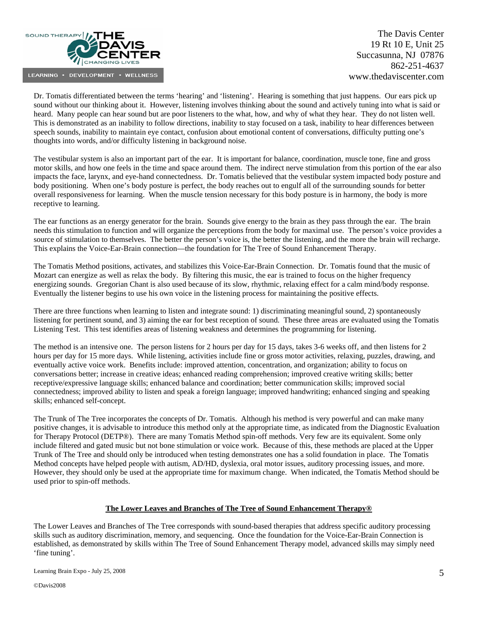

Dr. Tomatis differentiated between the terms 'hearing' and 'listening'. Hearing is something that just happens. Our ears pick up sound without our thinking about it. However, listening involves thinking about the sound and actively tuning into what is said or heard. Many people can hear sound but are poor listeners to the what, how, and why of what they hear. They do not listen well. This is demonstrated as an inability to follow directions, inability to stay focused on a task, inability to hear differences between speech sounds, inability to maintain eye contact, confusion about emotional content of conversations, difficulty putting one's thoughts into words, and/or difficulty listening in background noise.

The vestibular system is also an important part of the ear. It is important for balance, coordination, muscle tone, fine and gross motor skills, and how one feels in the time and space around them. The indirect nerve stimulation from this portion of the ear also impacts the face, larynx, and eye-hand connectedness. Dr. Tomatis believed that the vestibular system impacted body posture and body positioning. When one's body posture is perfect, the body reaches out to engulf all of the surrounding sounds for better overall responsiveness for learning. When the muscle tension necessary for this body posture is in harmony, the body is more receptive to learning.

The ear functions as an energy generator for the brain. Sounds give energy to the brain as they pass through the ear. The brain needs this stimulation to function and will organize the perceptions from the body for maximal use. The person's voice provides a source of stimulation to themselves. The better the person's voice is, the better the listening, and the more the brain will recharge. This explains the Voice-Ear-Brain connection—the foundation for The Tree of Sound Enhancement Therapy.

The Tomatis Method positions, activates, and stabilizes this Voice-Ear-Brain Connection. Dr. Tomatis found that the music of Mozart can energize as well as relax the body. By filtering this music, the ear is trained to focus on the higher frequency energizing sounds. Gregorian Chant is also used because of its slow, rhythmic, relaxing effect for a calm mind/body response. Eventually the listener begins to use his own voice in the listening process for maintaining the positive effects.

There are three functions when learning to listen and integrate sound: 1) discriminating meaningful sound, 2) spontaneously listening for pertinent sound, and 3) aiming the ear for best reception of sound. These three areas are evaluated using the Tomatis Listening Test. This test identifies areas of listening weakness and determines the programming for listening.

The method is an intensive one. The person listens for 2 hours per day for 15 days, takes 3-6 weeks off, and then listens for 2 hours per day for 15 more days. While listening, activities include fine or gross motor activities, relaxing, puzzles, drawing, and eventually active voice work. Benefits include: improved attention, concentration, and organization; ability to focus on conversations better; increase in creative ideas; enhanced reading comprehension; improved creative writing skills; better receptive/expressive language skills; enhanced balance and coordination; better communication skills; improved social connectedness; improved ability to listen and speak a foreign language; improved handwriting; enhanced singing and speaking skills; enhanced self-concept.

The Trunk of The Tree incorporates the concepts of Dr. Tomatis. Although his method is very powerful and can make many positive changes, it is advisable to introduce this method only at the appropriate time, as indicated from the Diagnostic Evaluation for Therapy Protocol (DETP®). There are many Tomatis Method spin-off methods. Very few are its equivalent. Some only include filtered and gated music but not bone stimulation or voice work. Because of this, these methods are placed at the Upper Trunk of The Tree and should only be introduced when testing demonstrates one has a solid foundation in place. The Tomatis Method concepts have helped people with autism, AD/HD, dyslexia, oral motor issues, auditory processing issues, and more. However, they should only be used at the appropriate time for maximum change. When indicated, the Tomatis Method should be used prior to spin-off methods.

## **The Lower Leaves and Branches of The Tree of Sound Enhancement Therapy®**

The Lower Leaves and Branches of The Tree corresponds with sound-based therapies that address specific auditory processing skills such as auditory discrimination, memory, and sequencing. Once the foundation for the Voice-Ear-Brain Connection is established, as demonstrated by skills within The Tree of Sound Enhancement Therapy model, advanced skills may simply need 'fine tuning'.

Learning Brain Expo - July 25, 2008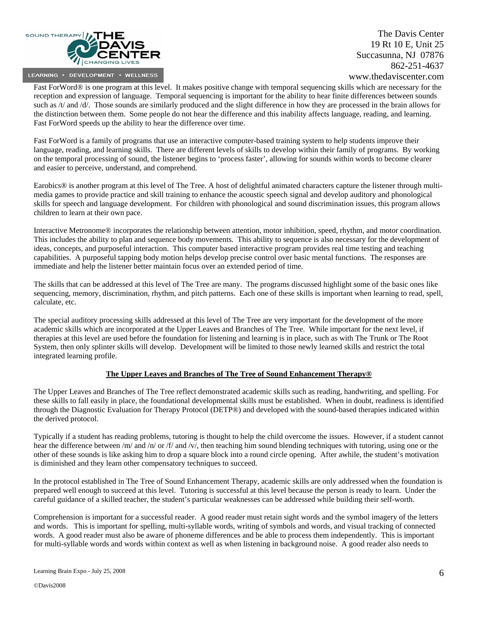

Fast ForWord® is one program at this level. It makes positive change with temporal sequencing skills which are necessary for the reception and expression of language. Temporal sequencing is important for the ability to hear finite differences between sounds such as /t/ and /d/. Those sounds are similarly produced and the slight difference in how they are processed in the brain allows for the distinction between them. Some people do not hear the difference and this inability affects language, reading, and learning. Fast ForWord speeds up the ability to hear the difference over time.

Fast ForWord is a family of programs that use an interactive computer-based training system to help students improve their language, reading, and learning skills. There are different levels of skills to develop within their family of programs. By working on the temporal processing of sound, the listener begins to 'process faster', allowing for sounds within words to become clearer and easier to perceive, understand, and comprehend.

Earobics® is another program at this level of The Tree. A host of delightful animated characters capture the listener through multimedia games to provide practice and skill training to enhance the acoustic speech signal and develop auditory and phonological skills for speech and language development. For children with phonological and sound discrimination issues, this program allows children to learn at their own pace.

Interactive Metronome® incorporates the relationship between attention, motor inhibition, speed, rhythm, and motor coordination. This includes the ability to plan and sequence body movements. This ability to sequence is also necessary for the development of ideas, concepts, and purposeful interaction. This computer based interactive program provides real time testing and teaching capabilities. A purposeful tapping body motion helps develop precise control over basic mental functions. The responses are immediate and help the listener better maintain focus over an extended period of time.

The skills that can be addressed at this level of The Tree are many. The programs discussed highlight some of the basic ones like sequencing, memory, discrimination, rhythm, and pitch patterns. Each one of these skills is important when learning to read, spell, calculate, etc.

The special auditory processing skills addressed at this level of The Tree are very important for the development of the more academic skills which are incorporated at the Upper Leaves and Branches of The Tree. While important for the next level, if therapies at this level are used before the foundation for listening and learning is in place, such as with The Trunk or The Root System, then only splinter skills will develop. Development will be limited to those newly learned skills and restrict the total integrated learning profile.

## **The Upper Leaves and Branches of The Tree of Sound Enhancement Therapy®**

The Upper Leaves and Branches of The Tree reflect demonstrated academic skills such as reading, handwriting, and spelling. For these skills to fall easily in place, the foundational developmental skills must be established. When in doubt, readiness is identified through the Diagnostic Evaluation for Therapy Protocol (DETP®) and developed with the sound-based therapies indicated within the derived protocol.

Typically if a student has reading problems, tutoring is thought to help the child overcome the issues. However, if a student cannot hear the difference between /m/ and /n/ or /f/ and /v/, then teaching him sound blending techniques with tutoring, using one or the other of these sounds is like asking him to drop a square block into a round circle opening. After awhile, the student's motivation is diminished and they learn other compensatory techniques to succeed.

In the protocol established in The Tree of Sound Enhancement Therapy, academic skills are only addressed when the foundation is prepared well enough to succeed at this level. Tutoring is successful at this level because the person is ready to learn. Under the careful guidance of a skilled teacher, the student's particular weaknesses can be addressed while building their self-worth.

Comprehension is important for a successful reader. A good reader must retain sight words and the symbol imagery of the letters and words. This is important for spelling, multi-syllable words, writing of symbols and words, and visual tracking of connected words. A good reader must also be aware of phoneme differences and be able to process them independently. This is important for multi-syllable words and words within context as well as when listening in background noise. A good reader also needs to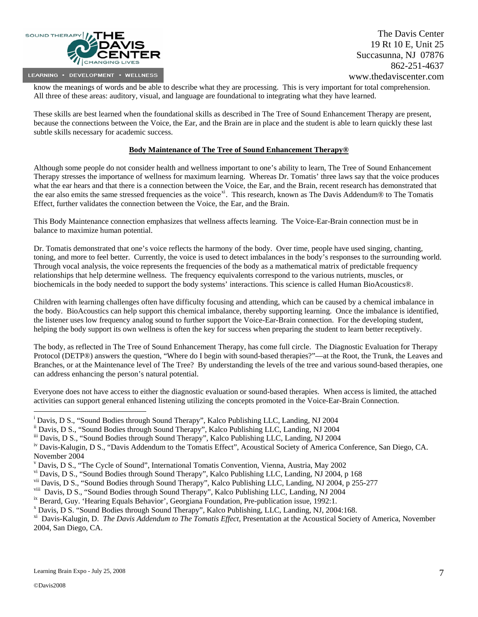

<span id="page-6-1"></span>know the meanings of words and be able to describe what they are processing. This is very important for total comprehension. All three of these areas: auditory, visual, and language are foundational to integrating what they have learned.

These skills are best learned when the foundational skills as described in The Tree of Sound Enhancement Therapy are present, because the connections between the Voice, the Ear, and the Brain are in place and the student is able to learn quickly these last subtle skills necessary for academic success.

## **Body Maintenance of The Tree of Sound Enhancement Therapy®**

Although some people do not consider health and wellness important to one's ability to learn, The Tree of Sound Enhancement Therapy stresses the importance of wellness for maximum learning. Whereas Dr. Tomatis' three laws say that the voice produces what the ear hears and that there is a connection between the Voice, the Ear, and the Brain, recent research has demonstrated that the ear also emits the same stressed frequencies as the voice<sup>[xi](#page-6-1)</sup>. This research, known as The Davis Addendum $\omega$  to The Tomatis Effect, further validates the connection between the Voice, the Ear, and the Brain.

This Body Maintenance connection emphasizes that wellness affects learning. The Voice-Ear-Brain connection must be in balance to maximize human potential.

Dr. Tomatis demonstrated that one's voice reflects the harmony of the body. Over time, people have used singing, chanting, toning, and more to feel better. Currently, the voice is used to detect imbalances in the body's responses to the surrounding world. Through vocal analysis, the voice represents the frequencies of the body as a mathematical matrix of predictable frequency relationships that help determine wellness. The frequency equivalents correspond to the various nutrients, muscles, or biochemicals in the body needed to support the body systems' interactions. This science is called Human BioAcoustics®.

Children with learning challenges often have difficulty focusing and attending, which can be caused by a chemical imbalance in the body. BioAcoustics can help support this chemical imbalance, thereby supporting learning. Once the imbalance is identified, the listener uses low frequency analog sound to further support the Voice-Ear-Brain connection. For the developing student, helping the body support its own wellness is often the key for success when preparing the student to learn better receptively.

The body, as reflected in The Tree of Sound Enhancement Therapy, has come full circle. The Diagnostic Evaluation for Therapy Protocol (DETP®) answers the question, "Where do I begin with sound-based therapies?"—at the Root, the Trunk, the Leaves and Branches, or at the Maintenance level of The Tree? By understanding the levels of the tree and various sound-based therapies, one can address enhancing the person's natural potential.

Everyone does not have access to either the diagnostic evaluation or sound-based therapies. When access is limited, the attached activities can support general enhanced listening utilizing the concepts promoted in the Voice-Ear-Brain Connection.

 $\overline{a}$ 

<span id="page-6-0"></span><sup>&</sup>lt;sup>i</sup> Davis, D S., "Sound Bodies through Sound Therapy", Kalco Publishing LLC, Landing, NJ 2004

ii Davis, D S., "Sound Bodies through Sound Therapy", Kalco Publishing LLC, Landing, NJ 2004

iii Davis, D S., "Sound Bodies through Sound Therapy", Kalco Publishing LLC, Landing, NJ 2004

iv Davis-Kalugin, D S., "Davis Addendum to the Tomatis Effect", Acoustical Society of America Conference, San Diego, CA. November 2004

v Davis, D S., "The Cycle of Sound", International Tomatis Convention, Vienna, Austria, May 2002

vi Davis, D S., "Sound Bodies through Sound Therapy", Kalco Publishing LLC, Landing, NJ 2004, p 168

vii Davis, D S., "Sound Bodies through Sound Therapy", Kalco Publishing LLC, Landing, NJ 2004, p 255-277

<sup>&</sup>lt;sup>viii</sup> Davis, D S., "Sound Bodies through Sound Therapy", Kalco Publishing LLC, Landing, NJ 2004 <sup>ix</sup> Berard, Guy. 'Hearing Equals Behavior', Georgiana Foundation, Pre-publication issue, 1992:1.

Davis, D S. "Sound Bodies through Sound Therapy", Kalco Publishing, LLC, Landing, NJ, 2004:168.

xi Davis-Kalugin, D. *The Davis Addendum to The Tomatis Effect,* Presentation at the Acoustical Society of America, November 2004, San Diego, CA.